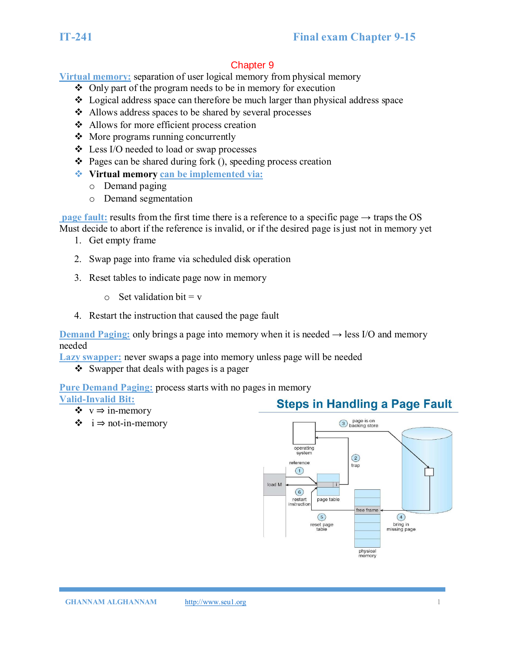**Virtual memory:** separation of user logical memory from physical memory

- ❖ Only part of the program needs to be in memory for execution
- ❖ Logical address space can therefore be much larger than physical address space
- ❖ Allows address spaces to be shared by several processes
- ❖ Allows for more efficient process creation
- ❖ More programs running concurrently
- ❖ Less I/O needed to load or swap processes
- $\triangle$  Pages can be shared during fork (), speeding process creation
- ❖ **Virtual memory can be implemented via:**
	- o Demand paging
	- o Demand segmentation

**page fault:** results from the first time there is a reference to a specific page  $\rightarrow$  traps the OS Must decide to abort if the reference is invalid, or if the desired page is just not in memory yet

- 1. Get empty frame
- 2. Swap page into frame via scheduled disk operation
- 3. Reset tables to indicate page now in memory
	- $\circ$  Set validation bit = v
- 4. Restart the instruction that caused the page fault

**Demand Paging:** only brings a page into memory when it is needed  $\rightarrow$  less I/O and memory needed

**Lazy swapper:** never swaps a page into memory unless page will be needed

❖ Swapper that deals with pages is a pager

**Pure Demand Paging:** process starts with no pages in memory

# **Valid-Invalid Bit:**

- ❖ v ⇒ in-memory
- ❖ i ⇒ not-in-memory

# **Steps in Handling a Page Fault**

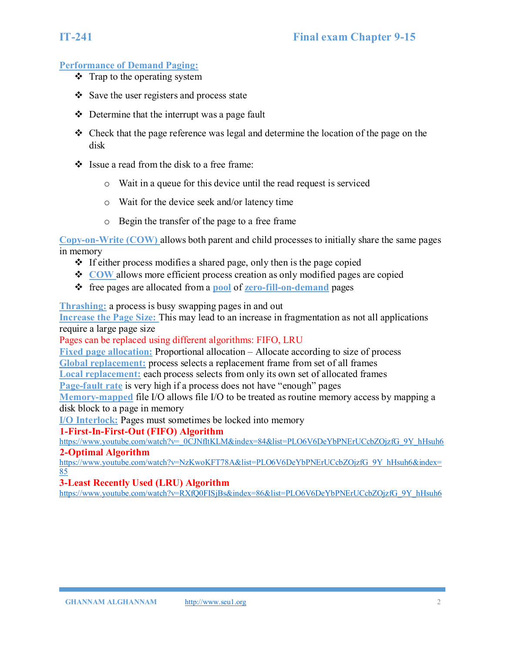### **Performance of Demand Paging:**

- $\div$  Trap to the operating system
- ❖ Save the user registers and process state
- ❖ Determine that the interrupt was a page fault
- ❖ Check that the page reference was legal and determine the location of the page on the disk
- ❖ Issue a read from the disk to a free frame:
	- o Wait in a queue for this device until the read request is serviced
	- o Wait for the device seek and/or latency time
	- o Begin the transfer of the page to a free frame

**Copy-on-Write (COW)** allows both parent and child processes to initially share the same pages in memory

- ❖ If either process modifies a shared page, only then is the page copied
- ❖ **COW** allows more efficient process creation as only modified pages are copied
- ❖ free pages are allocated from a **pool** of **zero-fill-on-demand** pages

**Thrashing:** a process is busy swapping pages in and out

**Increase the Page Size:** This may lead to an increase in fragmentation as not all applications require a large page size

Pages can be replaced using different algorithms: FIFO, LRU

**Fixed page allocation:** Proportional allocation – Allocate according to size of process **Global replacement:** process selects a replacement frame from set of all frames

**Local replacement:** each process selects from only its own set of allocated frames

**Page-fault rate** is very high if a process does not have "enough" pages

**Memory-mapped** file I/O allows file I/O to be treated as routine memory access by mapping a disk block to a page in memory

**I/O Interlock:** Pages must sometimes be locked into memory

### **1-First-In-First-Out (FIFO) Algorithm**

[https://www.youtube.com/watch?v=\\_0CJNfItKLM&index=84&list=PLO6V6DeYbPNErUCcbZOjzfG\\_9Y\\_hHsuh6](https://www.youtube.com/watch?v=_0CJNfItKLM&index=84&list=PLO6V6DeYbPNErUCcbZOjzfG_9Y_hHsuh6)

# **2-Optimal Algorithm**

[https://www.youtube.com/watch?v=NzKwoKFT78A&list=PLO6V6DeYbPNErUCcbZOjzfG\\_9Y\\_hHsuh6&index=](https://www.youtube.com/watch?v=NzKwoKFT78A&list=PLO6V6DeYbPNErUCcbZOjzfG_9Y_hHsuh6&index=85) [85](https://www.youtube.com/watch?v=NzKwoKFT78A&list=PLO6V6DeYbPNErUCcbZOjzfG_9Y_hHsuh6&index=85)

### **3-Least Recently Used (LRU) Algorithm**

[https://www.youtube.com/watch?v=RXfQ0FISjBs&index=86&list=PLO6V6DeYbPNErUCcbZOjzfG\\_9Y\\_hHsuh6](https://www.youtube.com/watch?v=RXfQ0FISjBs&index=86&list=PLO6V6DeYbPNErUCcbZOjzfG_9Y_hHsuh6)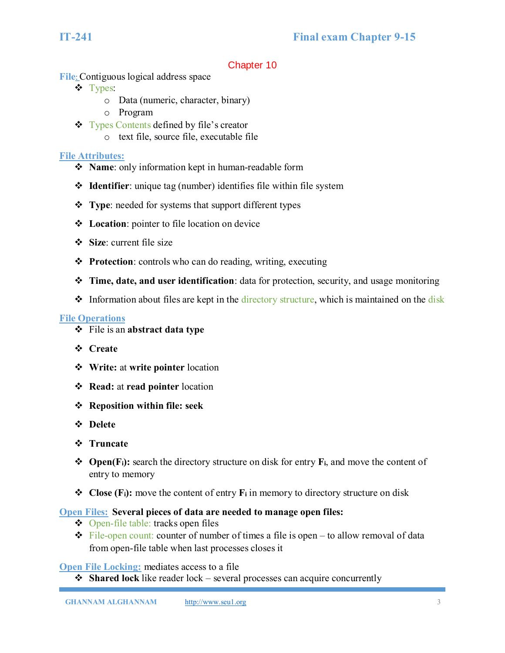**File**: Contiguous logical address space

- ❖ Types:
	- o Data (numeric, character, binary)
	- o Program
- ❖ Types Contents defined by file's creator
	- o text file, source file, executable file

# **File Attributes:**

- ❖ **Name**: only information kept in human-readable form
- ❖ **Identifier**: unique tag (number) identifies file within file system
- ❖ **Type**: needed for systems that support different types
- ❖ **Location**: pointer to file location on device
- ❖ **Size**: current file size
- ❖ **Protection**: controls who can do reading, writing, executing
- ❖ **Time, date, and user identification**: data for protection, security, and usage monitoring
- ❖ Information about files are kept in the directory structure, which is maintained on the disk

# **File Operations**

- ❖ File is an **abstract data type**
- ❖ **Create**
- ❖ **Write:** at **write pointer** location
- ❖ **Read:** at **read pointer** location
- ❖ **Reposition within file: seek**
- ❖ **Delete**
- ❖ **Truncate**
- ❖ **Open(Fi):** search the directory structure on disk for entry **Fi**, and move the content of entry to memory
- ❖ **Close (Fi):** move the content of entry **F<sup>i</sup>** in memory to directory structure on disk

# **Open Files: Several pieces of data are needed to manage open files:**

- ❖ Open-file table: tracks open files
- $\div$  File-open count: counter of number of times a file is open to allow removal of data from open-file table when last processes closes it

**Open File Locking:** mediates access to a file

❖ **Shared lock** like reader lock – several processes can acquire concurrently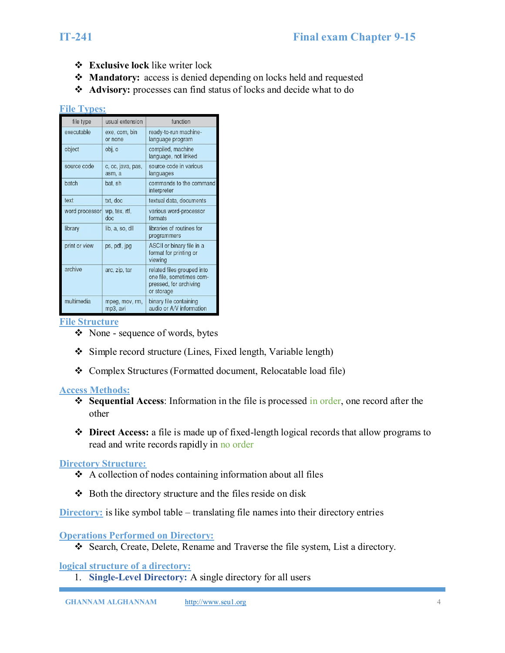- ❖ **Exclusive lock** like writer lock
- ❖ **Mandatory:** access is denied depending on locks held and requested
- ❖ **Advisory:** processes can find status of locks and decide what to do

#### **File Types:**

| file type      | usual extension             | function                                                                                       |
|----------------|-----------------------------|------------------------------------------------------------------------------------------------|
| executable     | exe, com, bin<br>or none    | ready-to-run machine-<br>language program                                                      |
| object         | obj, o                      | compiled, machine<br>language, not linked                                                      |
| source code    | c, cc, java, pas,<br>asm, a | source code in various<br>languages                                                            |
| batch          | bat, sh                     | commands to the command<br>interpreter                                                         |
| text           | txt. doc                    | textual data, documents                                                                        |
| word processor | wp, tex, rtf,<br>doc        | various word-processor<br>formats                                                              |
| library        | lib. a. so. dll             | libraries of routines for<br>programmers                                                       |
| print or view  | ps, pdf, jpg                | ASCII or binary file in a<br>format for printing or<br>viewing                                 |
| archive        | arc, zip, tar               | related files grouped into<br>one file, sometimes com-<br>pressed, for archiving<br>or storage |
| multimedia     | mpeg, mov, rm,<br>mp3, avi  | binary file containing<br>audio or A/V information                                             |

#### **File Structure**

- ❖ None sequence of words, bytes
- ❖ Simple record structure (Lines, Fixed length, Variable length)
- ❖ Complex Structures (Formatted document, Relocatable load file)

### **Access Methods:**

- ❖ **Sequential Access**: Information in the file is processed in order, one record after the other
- ❖ **Direct Access:** a file is made up of fixed-length logical records that allow programs to read and write records rapidly in no order

#### **Directory Structure:**

- ❖ A collection of nodes containing information about all files
- ❖ Both the directory structure and the files reside on disk

**Directory:** is like symbol table – translating file names into their directory entries

### **Operations Performed on Directory:**

❖ Search, Create, Delete, Rename and Traverse the file system, List a directory.

### **logical structure of a directory:**

1. **Single-Level Directory:** A single directory for all users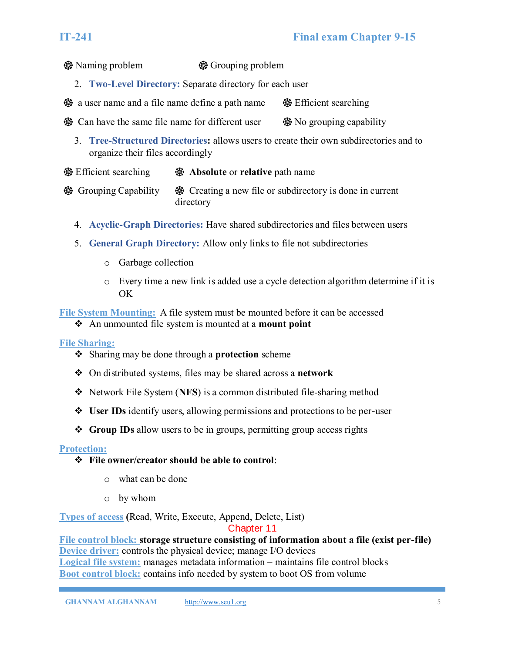Naming problem Grouping problem

2. **Two-Level Directory:** Separate directory for each user

 $\circledast$  a user name and a file name define a path name  $\circledast$  Efficient searching

- $\circledast$  Can have the same file name for different user  $\circledast$  No grouping capability
	- 3. **Tree-Structured Directories:** allows users to create their own subdirectories and to organize their files accordingly
- Efficient searching **Absolute** or **relative** path name
- Grouping Capability Creating a new file or subdirectory is done in current directory
	- 4. **Acyclic-Graph Directories:** Have shared subdirectories and files between users
	- 5. **General Graph Directory:** Allow only links to file not subdirectories
		- o Garbage collection
		- o Every time a new link is added use a cycle detection algorithm determine if it is OK

**File System Mounting:** A file system must be mounted before it can be accessed

❖ An unmounted file system is mounted at a **mount point**

# **File Sharing:**

- ❖ Sharing may be done through a **protection** scheme
- ❖ On distributed systems, files may be shared across a **network**
- ❖ Network File System (**NFS**) is a common distributed file-sharing method
- ❖ **User IDs** identify users, allowing permissions and protections to be per-user
- ❖ **Group IDs** allow users to be in groups, permitting group access rights

# **Protection:**

# ❖ **File owner/creator should be able to control**:

- o what can be done
- o by whom

**Types of access (**Read, Write, Execute, Append, Delete, List)

### Chapter 11

**File control block: storage structure consisting of information about a file (exist per-file) Device driver:** controls the physical device; manage I/O devices **Logical file system:** manages metadata information – maintains file control blocks **Boot control block:** contains info needed by system to boot OS from volume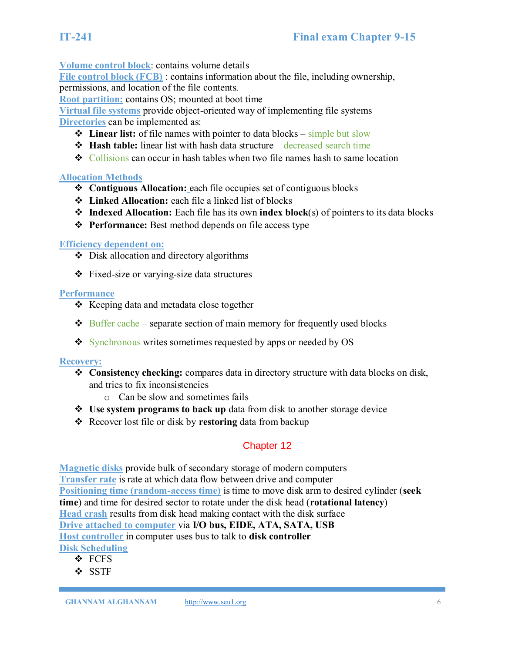**Volume control block**: contains volume details

**File control block (FCB)** : contains information about the file, including ownership, permissions, and location of the file contents.

**Root partition:** contains OS; mounted at boot time

**Virtual file systems** provide object-oriented way of implementing file systems **Directories** can be implemented as:

- ❖ **Linear list:** of file names with pointer to data blocks simple but slow
- ❖ **Hash table:** linear list with hash data structure decreased search time
- ❖ Collisions can occur in hash tables when two file names hash to same location

# **Allocation Methods**

- ❖ **Contiguous Allocation:** each file occupies set of contiguous blocks
- ❖ **Linked Allocation:** each file a linked list of blocks
- ❖ **Indexed Allocation:** Each file has its own **index block**(s) of pointers to its data blocks
- ❖ **Performance:** Best method depends on file access type

# **Efficiency dependent on:**

- ❖ Disk allocation and directory algorithms
- ❖ Fixed-size or varying-size data structures

# **Performance**

- ❖ Keeping data and metadata close together
- $\triangle$  Buffer cache separate section of main memory for frequently used blocks
- ❖ Synchronous writes sometimes requested by apps or needed by OS

# **Recovery:**

- ❖ **Consistency checking:** compares data in directory structure with data blocks on disk, and tries to fix inconsistencies
	- o Can be slow and sometimes fails
- ❖ **Use system programs to back up** data from disk to another storage device
- ❖ Recover lost file or disk by **restoring** data from backup

# Chapter 12

**Magnetic disks** provide bulk of secondary storage of modern computers **Transfer rate** is rate at which data flow between drive and computer **Positioning time (random-access time)** is time to move disk arm to desired cylinder (**seek time**) and time for desired sector to rotate under the disk head (**rotational latency**) **Head crash** results from disk head making contact with the disk surface **Drive attached to computer** via **I/O bus, EIDE, ATA, SATA, USB Host controller** in computer uses bus to talk to **disk controller Disk Scheduling**

- ❖ FCFS
- ❖ SSTF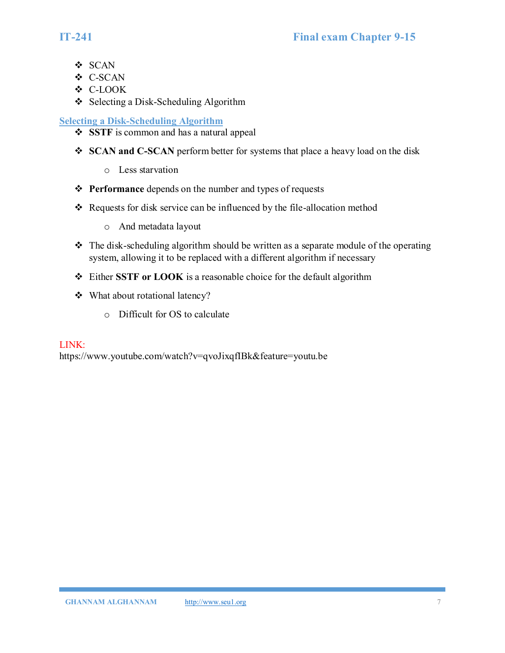- ❖ SCAN
- ❖ C-SCAN
- ❖ C-LOOK
- ❖ Selecting a Disk-Scheduling Algorithm

# **Selecting a Disk-Scheduling Algorithm**

- ❖ **SSTF** is common and has a natural appeal
- ❖ **SCAN and C-SCAN** perform better for systems that place a heavy load on the disk
	- o Less starvation
- ❖ **Performance** depends on the number and types of requests
- ❖ Requests for disk service can be influenced by the file-allocation method
	- o And metadata layout
- $\triangle$  The disk-scheduling algorithm should be written as a separate module of the operating system, allowing it to be replaced with a different algorithm if necessary
- ❖ Either **SSTF or LOOK** is a reasonable choice for the default algorithm
- ❖ What about rotational latency?
	- o Difficult for OS to calculate

# LINK:

https://www.youtube.com/watch?v=qvoJixqfIBk&feature=youtu.be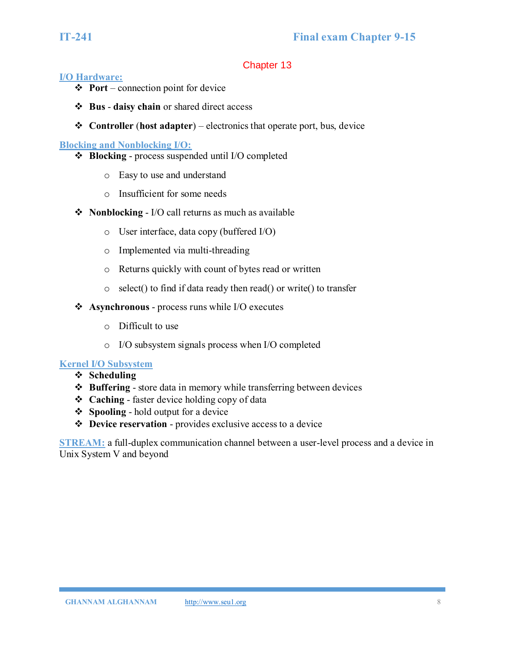# **I/O Hardware:**

- ❖ **Port**  connection point for device
- ❖ **Bus daisy chain** or shared direct access
- ❖ **Controller** (**host adapter**) electronics that operate port, bus, device

# **Blocking and Nonblocking I/O:**

- ❖ **Blocking**  process suspended until I/O completed
	- o Easy to use and understand
	- o Insufficient for some needs
- ❖ **Nonblocking** I/O call returns as much as available
	- o User interface, data copy (buffered I/O)
	- o Implemented via multi-threading
	- o Returns quickly with count of bytes read or written
	- o select() to find if data ready then read() or write() to transfer
- ❖ **Asynchronous** process runs while I/O executes
	- o Difficult to use
	- o I/O subsystem signals process when I/O completed

# **Kernel I/O Subsystem**

- ❖ **Scheduling**
- ❖ **Buffering** store data in memory while transferring between devices
- ❖ **Caching** faster device holding copy of data
- ❖ **Spooling** hold output for a device
- ❖ **Device reservation** provides exclusive access to a device

**STREAM:** a full-duplex communication channel between a user-level process and a device in Unix System V and beyond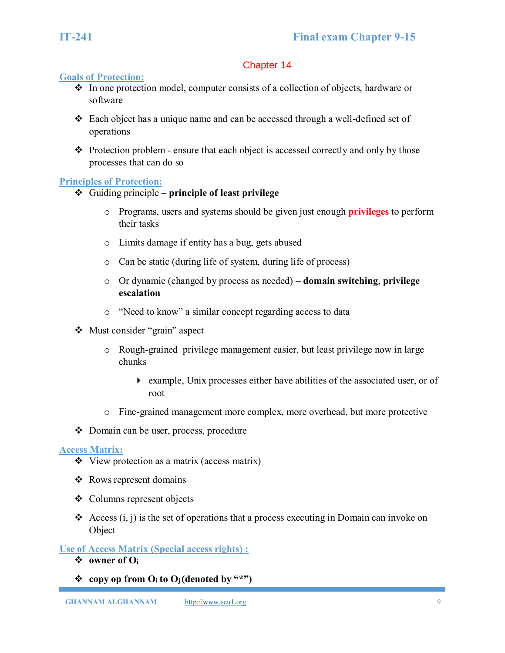# **Goals of Protection:**

- ❖ In one protection model, computer consists of a collection of objects, hardware or software
- ❖ Each object has a unique name and can be accessed through a well-defined set of operations
- ❖ Protection problem ensure that each object is accessed correctly and only by those processes that can do so

# **Principles of Protection:**

- ❖ Guiding principle **principle of least privilege**
	- o Programs, users and systems should be given just enough **privileges** to perform their tasks
	- o Limits damage if entity has a bug, gets abused
	- o Can be static (during life of system, during life of process)
	- o Or dynamic (changed by process as needed) **domain switching**, **privilege escalation**
	- o "Need to know" a similar concept regarding access to data
- ❖ Must consider "grain" aspect
	- o Rough-grained privilege management easier, but least privilege now in large chunks
		- example, Unix processes either have abilities of the associated user, or of root
	- o Fine-grained management more complex, more overhead, but more protective
- ❖ Domain can be user, process, procedure

# **Access Matrix:**

- ❖ View protection as a matrix (access matrix)
- ❖ Rows represent domains
- ❖ Columns represent objects
- ❖ Access (i, j) is the set of operations that a process executing in Domain can invoke on Object

**Use of Access Matrix (Special access rights) :**

- ❖ **owner of O<sup>i</sup>**
- $\mathbf{\hat{P}}$  copy op from  $\mathbf{O}_i$  to  $\mathbf{O}_j$  (denoted by "\*")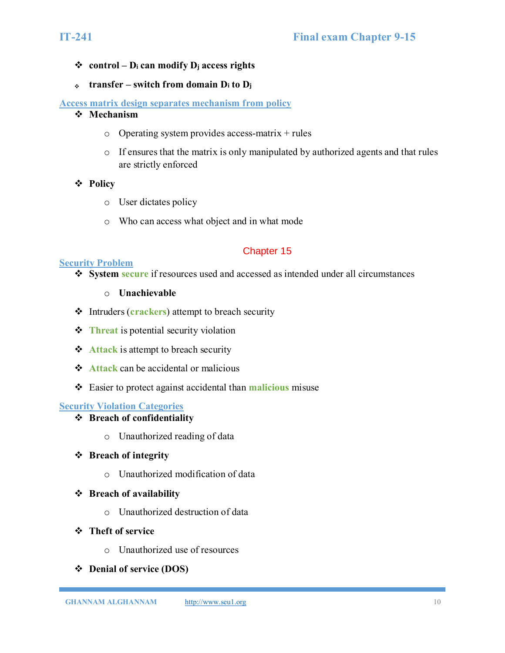# ❖ **control – D<sup>i</sup> can modify D<sup>j</sup> access rights**

❖ **transfer – switch from domain D<sup>i</sup> to D<sup>j</sup>**

# **Access matrix design separates mechanism from policy**

- ❖ **Mechanism** 
	- $\circ$  Operating system provides access-matrix + rules
	- $\circ$  If ensures that the matrix is only manipulated by authorized agents and that rules are strictly enforced

### ❖ **Policy**

- o User dictates policy
- o Who can access what object and in what mode

# Chapter 15

### **Security Problem**

- ❖ **System secure** if resources used and accessed as intended under all circumstances
	- o **Unachievable**
- ❖ Intruders (**crackers**) attempt to breach security
- **❖ Threat** is potential security violation
- ❖ **Attack** is attempt to breach security
- ❖ **Attack** can be accidental or malicious
- ❖ Easier to protect against accidental than **malicious** misuse

# **Security Violation Categories**

- ❖ **Breach of confidentiality**
	- o Unauthorized reading of data

### ❖ **Breach of integrity**

o Unauthorized modification of data

### ❖ **Breach of availability**

- o Unauthorized destruction of data
- ❖ **Theft of service**
	- o Unauthorized use of resources
- ❖ **Denial of service (DOS)**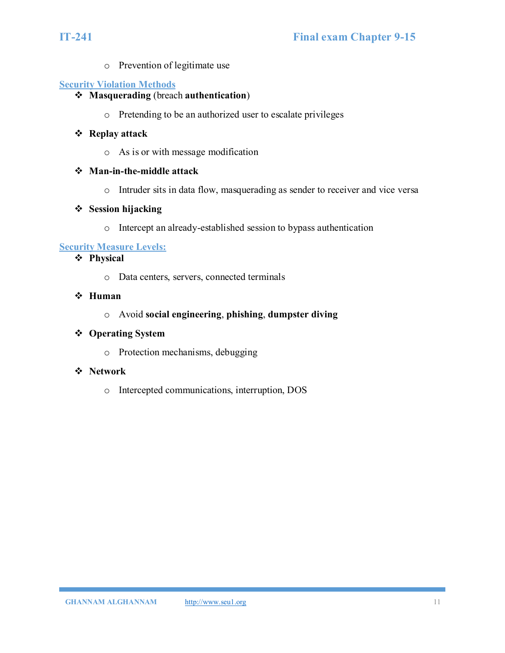o Prevention of legitimate use

# **Security Violation Methods**

# ❖ **Masquerading** (breach **authentication**)

o Pretending to be an authorized user to escalate privileges

# ❖ **Replay attack**

o As is or with message modification

# ❖ **Man-in-the-middle attack**

o Intruder sits in data flow, masquerading as sender to receiver and vice versa

# ❖ **Session hijacking**

o Intercept an already-established session to bypass authentication

# **Security Measure Levels:**

# ❖ **Physical**

o Data centers, servers, connected terminals

# ❖ **Human**

o Avoid **social engineering**, **phishing**, **dumpster diving**

# ❖ **Operating System**

o Protection mechanisms, debugging

# ❖ **Network**

o Intercepted communications, interruption, DOS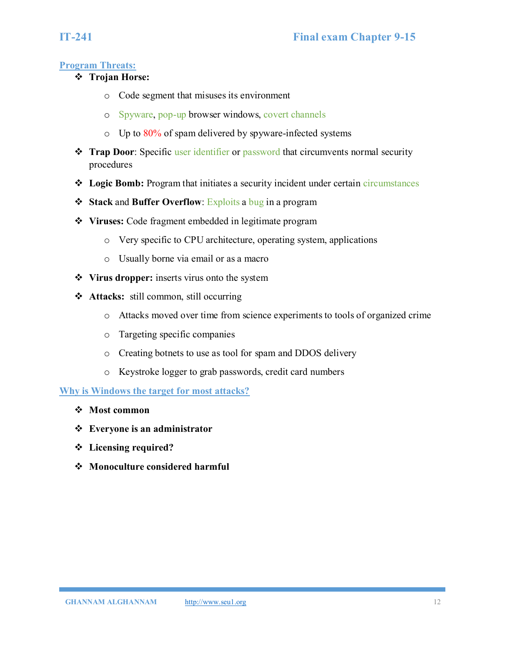# **Program Threats:**

- ❖ **Trojan Horse:** 
	- o Code segment that misuses its environment
	- o Spyware, pop-up browser windows, covert channels
	- $\circ$  Up to 80% of spam delivered by spyware-infected systems
- ❖ **Trap Door**: Specific user identifier or password that circumvents normal security procedures
- ❖ **Logic Bomb:** Program that initiates a security incident under certain circumstances
- ❖ **Stack** and **Buffer Overflow**: Exploits a bug in a program
- ❖ **Viruses:** Code fragment embedded in legitimate program
	- o Very specific to CPU architecture, operating system, applications
	- o Usually borne via email or as a macro
- ❖ **Virus dropper:** inserts virus onto the system
- ❖ **Attacks:** still common, still occurring
	- o Attacks moved over time from science experiments to tools of organized crime
	- o Targeting specific companies
	- o Creating botnets to use as tool for spam and DDOS delivery
	- o Keystroke logger to grab passwords, credit card numbers

# **Why is Windows the target for most attacks?**

- ❖ **Most common**
- ❖ **Everyone is an administrator**
- ❖ **Licensing required?**
- ❖ **Monoculture considered harmful**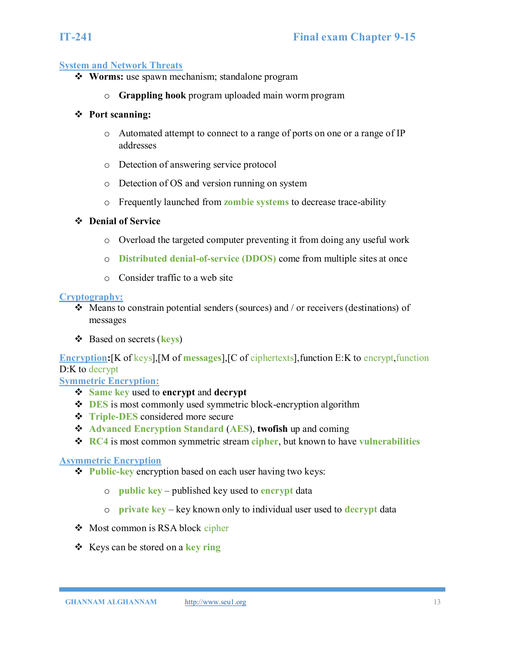#### **System and Network Threats**

- ❖ **Worms:** use spawn mechanism; standalone program
	- o **Grappling hook** program uploaded main worm program

#### ❖ **Port scanning:**

- o Automated attempt to connect to a range of ports on one or a range of IP addresses
- o Detection of answering service protocol
- o Detection of OS and version running on system
- o Frequently launched from **zombie systems** to decrease trace-ability

#### ❖ **Denial of Service**

- o Overload the targeted computer preventing it from doing any useful work
- o **Distributed denial-of-service (DDOS)** come from multiple sites at once
- o Consider traffic to a web site

#### **Cryptography:**

- ❖ Means to constrain potential senders (sources) and / or receivers (destinations) of messages
- ❖ Based on secrets (**keys**)

**Encryption:**[K of keys],[M of **messages**],[C of ciphertexts],function E:K to encrypt,function D:K to decrypt

**Symmetric Encryption:** 

- ❖ **Same key** used to **encrypt** and **decrypt**
- ❖ **DES** is most commonly used symmetric block-encryption algorithm
- ❖ **Triple-DES** considered more secure
- ❖ **Advanced Encryption Standard** (**AES**), **twofish** up and coming
- ❖ **RC4** is most common symmetric stream **cipher**, but known to have **vulnerabilities**

### **Asymmetric Encryption**

- ❖ **Public-key** encryption based on each user having two keys:
	- o **public key** published key used to **encrypt** data
	- o **private key** key known only to individual user used to **decrypt** data
- ❖ Most common is RSA block cipher
- ❖ Keys can be stored on a **key ring**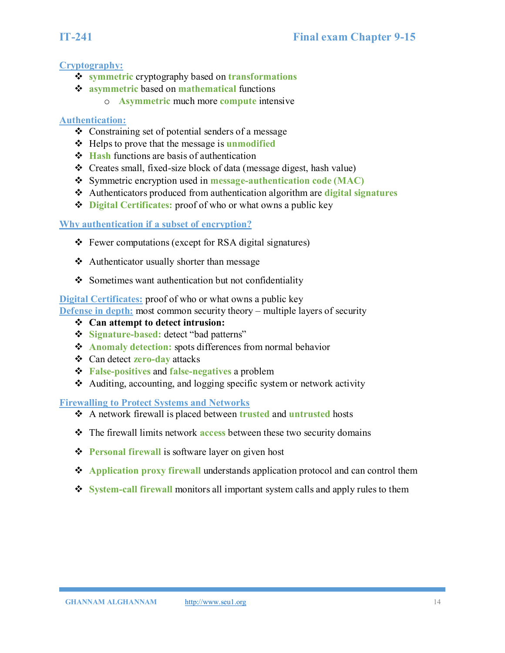# **Cryptography:**

- ❖ **symmetric** cryptography based on **transformations**
- ❖ **asymmetric** based on **mathematical** functions
	- o **Asymmetric** much more **compute** intensive

# **Authentication:**

- ❖ Constraining set of potential senders of a message
- ❖ Helps to prove that the message is **unmodified**
- ❖ **Hash** functions are basis of authentication
- ❖ Creates small, fixed-size block of data (message digest, hash value)
- ❖ Symmetric encryption used in **message-authentication code (MAC)**
- ❖ Authenticators produced from authentication algorithm are **digital signatures**
- ❖ **Digital Certificates:** proof of who or what owns a public key

# **Why authentication if a subset of encryption?**

- ❖ Fewer computations (except for RSA digital signatures)
- ❖ Authenticator usually shorter than message
- ❖ Sometimes want authentication but not confidentiality

# **Digital Certificates:** proof of who or what owns a public key

**Defense in depth:** most common security theory – multiple layers of security

- ❖ **Can attempt to detect intrusion:**
- ❖ **Signature-based:** detect "bad patterns"
- ❖ **Anomaly detection:** spots differences from normal behavior
- ❖ Can detect **zero-day** attacks
- ❖ **False-positives** and **false-negatives** a problem
- ❖ Auditing, accounting, and logging specific system or network activity

**Firewalling to Protect Systems and Networks**

- ❖ A network firewall is placed between **trusted** and **untrusted** hosts
- ❖ The firewall limits network **access** between these two security domains
- ❖ **Personal firewall** is software layer on given host
- ❖ **Application proxy firewall** understands application protocol and can control them
- ❖ **System-call firewall** monitors all important system calls and apply rules to them